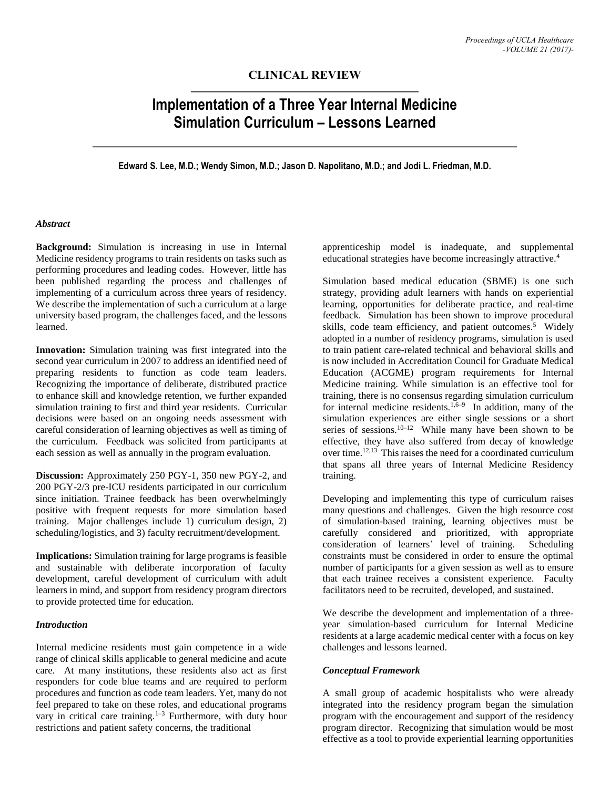## **CLINICAL REVIEW**

# **Implementation of a Three Year Internal Medicine Simulation Curriculum – Lessons Learned**

**Edward S. Lee, M.D.; Wendy Simon, M.D.; Jason D. Napolitano, M.D.; and Jodi L. Friedman, M.D.**

## *Abstract*

**Background:** Simulation is increasing in use in Internal Medicine residency programs to train residents on tasks such as performing procedures and leading codes. However, little has been published regarding the process and challenges of implementing of a curriculum across three years of residency. We describe the implementation of such a curriculum at a large university based program, the challenges faced, and the lessons learned.

**Innovation:** Simulation training was first integrated into the second year curriculum in 2007 to address an identified need of preparing residents to function as code team leaders. Recognizing the importance of deliberate, distributed practice to enhance skill and knowledge retention, we further expanded simulation training to first and third year residents. Curricular decisions were based on an ongoing needs assessment with careful consideration of learning objectives as well as timing of the curriculum. Feedback was solicited from participants at each session as well as annually in the program evaluation.

**Discussion:** Approximately 250 PGY-1, 350 new PGY-2, and 200 PGY-2/3 pre-ICU residents participated in our curriculum since initiation. Trainee feedback has been overwhelmingly positive with frequent requests for more simulation based training. Major challenges include 1) curriculum design, 2) scheduling/logistics, and 3) faculty recruitment/development.

**Implications:** Simulation training for large programs is feasible and sustainable with deliberate incorporation of faculty development, careful development of curriculum with adult learners in mind, and support from residency program directors to provide protected time for education.

#### *Introduction*

Internal medicine residents must gain competence in a wide range of clinical skills applicable to general medicine and acute care. At many institutions, these residents also act as first responders for code blue teams and are required to perform procedures and function as code team leaders. Yet, many do not feel prepared to take on these roles, and educational programs vary in critical care training.<sup>1-3</sup> Furthermore, with duty hour restrictions and patient safety concerns, the traditional

apprenticeship model is inadequate, and supplemental educational strategies have become increasingly attractive.<sup>4</sup>

Simulation based medical education (SBME) is one such strategy, providing adult learners with hands on experiential learning, opportunities for deliberate practice, and real-time feedback. Simulation has been shown to improve procedural skills, code team efficiency, and patient outcomes.<sup>5</sup> Widely adopted in a number of residency programs, simulation is used to train patient care-related technical and behavioral skills and is now included in Accreditation Council for Graduate Medical Education (ACGME) program requirements for Internal Medicine training. While simulation is an effective tool for training, there is no consensus regarding simulation curriculum for internal medicine residents.<sup>1,6-9</sup> In addition, many of the simulation experiences are either single sessions or a short series of sessions.<sup>10–12</sup> While many have been shown to be effective, they have also suffered from decay of knowledge over time.<sup>12,13</sup> This raises the need for a coordinated curriculum that spans all three years of Internal Medicine Residency training.

Developing and implementing this type of curriculum raises many questions and challenges. Given the high resource cost of simulation-based training, learning objectives must be carefully considered and prioritized, with appropriate consideration of learners' level of training. Scheduling constraints must be considered in order to ensure the optimal number of participants for a given session as well as to ensure that each trainee receives a consistent experience. Faculty facilitators need to be recruited, developed, and sustained.

We describe the development and implementation of a threeyear simulation-based curriculum for Internal Medicine residents at a large academic medical center with a focus on key challenges and lessons learned.

#### *Conceptual Framework*

A small group of academic hospitalists who were already integrated into the residency program began the simulation program with the encouragement and support of the residency program director. Recognizing that simulation would be most effective as a tool to provide experiential learning opportunities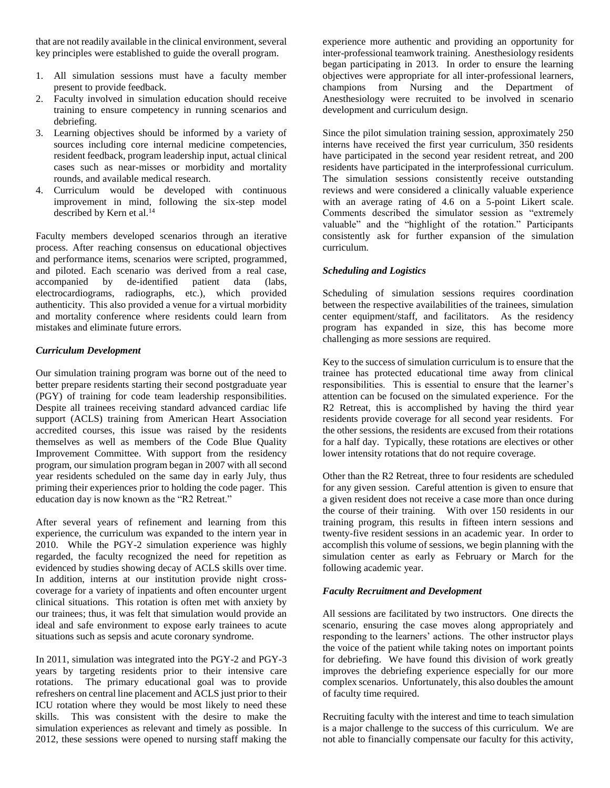that are not readily available in the clinical environment, several key principles were established to guide the overall program.

- 1. All simulation sessions must have a faculty member present to provide feedback.
- 2. Faculty involved in simulation education should receive training to ensure competency in running scenarios and debriefing.
- 3. Learning objectives should be informed by a variety of sources including core internal medicine competencies, resident feedback, program leadership input, actual clinical cases such as near-misses or morbidity and mortality rounds, and available medical research.
- 4. Curriculum would be developed with continuous improvement in mind, following the six-step model described by Kern et al.<sup>14</sup>

Faculty members developed scenarios through an iterative process. After reaching consensus on educational objectives and performance items, scenarios were scripted, programmed, and piloted. Each scenario was derived from a real case, accompanied by de-identified patient data (labs, electrocardiograms, radiographs, etc.), which provided authenticity. This also provided a venue for a virtual morbidity and mortality conference where residents could learn from mistakes and eliminate future errors.

## *Curriculum Development*

Our simulation training program was borne out of the need to better prepare residents starting their second postgraduate year (PGY) of training for code team leadership responsibilities. Despite all trainees receiving standard advanced cardiac life support (ACLS) training from American Heart Association accredited courses, this issue was raised by the residents themselves as well as members of the Code Blue Quality Improvement Committee. With support from the residency program, our simulation program began in 2007 with all second year residents scheduled on the same day in early July, thus priming their experiences prior to holding the code pager. This education day is now known as the "R2 Retreat."

After several years of refinement and learning from this experience, the curriculum was expanded to the intern year in 2010. While the PGY-2 simulation experience was highly regarded, the faculty recognized the need for repetition as evidenced by studies showing decay of ACLS skills over time. In addition, interns at our institution provide night crosscoverage for a variety of inpatients and often encounter urgent clinical situations. This rotation is often met with anxiety by our trainees; thus, it was felt that simulation would provide an ideal and safe environment to expose early trainees to acute situations such as sepsis and acute coronary syndrome.

In 2011, simulation was integrated into the PGY-2 and PGY-3 years by targeting residents prior to their intensive care rotations. The primary educational goal was to provide refreshers on central line placement and ACLS just prior to their ICU rotation where they would be most likely to need these skills. This was consistent with the desire to make the simulation experiences as relevant and timely as possible. In 2012, these sessions were opened to nursing staff making the experience more authentic and providing an opportunity for inter-professional teamwork training. Anesthesiology residents began participating in 2013. In order to ensure the learning objectives were appropriate for all inter-professional learners, champions from Nursing and the Department of Anesthesiology were recruited to be involved in scenario development and curriculum design.

Since the pilot simulation training session, approximately 250 interns have received the first year curriculum, 350 residents have participated in the second year resident retreat, and 200 residents have participated in the interprofessional curriculum. The simulation sessions consistently receive outstanding reviews and were considered a clinically valuable experience with an average rating of 4.6 on a 5-point Likert scale. Comments described the simulator session as "extremely valuable" and the "highlight of the rotation." Participants consistently ask for further expansion of the simulation curriculum.

## *Scheduling and Logistics*

Scheduling of simulation sessions requires coordination between the respective availabilities of the trainees, simulation center equipment/staff, and facilitators. As the residency program has expanded in size, this has become more challenging as more sessions are required.

Key to the success of simulation curriculum is to ensure that the trainee has protected educational time away from clinical responsibilities. This is essential to ensure that the learner's attention can be focused on the simulated experience. For the R2 Retreat, this is accomplished by having the third year residents provide coverage for all second year residents. For the other sessions, the residents are excused from their rotations for a half day. Typically, these rotations are electives or other lower intensity rotations that do not require coverage.

Other than the R2 Retreat, three to four residents are scheduled for any given session. Careful attention is given to ensure that a given resident does not receive a case more than once during the course of their training. With over 150 residents in our training program, this results in fifteen intern sessions and twenty-five resident sessions in an academic year. In order to accomplish this volume of sessions, we begin planning with the simulation center as early as February or March for the following academic year.

## *Faculty Recruitment and Development*

All sessions are facilitated by two instructors. One directs the scenario, ensuring the case moves along appropriately and responding to the learners' actions. The other instructor plays the voice of the patient while taking notes on important points for debriefing. We have found this division of work greatly improves the debriefing experience especially for our more complex scenarios. Unfortunately, this also doubles the amount of faculty time required.

Recruiting faculty with the interest and time to teach simulation is a major challenge to the success of this curriculum. We are not able to financially compensate our faculty for this activity,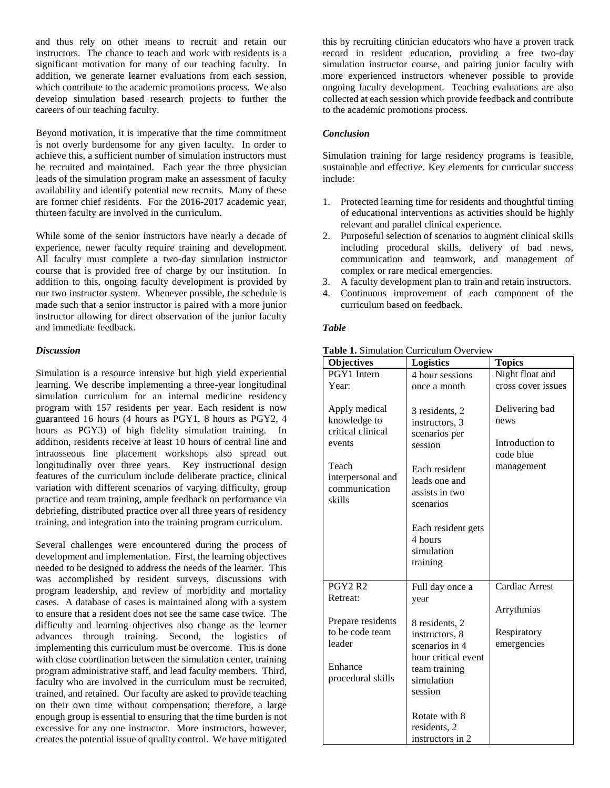and thus rely on other means to recruit and retain our instructors. The chance to teach and work with residents is a significant motivation for many of our teaching faculty. In addition, we generate learner evaluations from each session, which contribute to the academic promotions process. We also develop simulation based research projects to further the careers of our teaching faculty.

Beyond motivation, it is imperative that the time commitment is not overly burdensome for any given faculty. In order to achieve this, a sufficient number of simulation instructors must be recruited and maintained. Each year the three physician leads of the simulation program make an assessment of faculty availability and identify potential new recruits. Many of these are former chief residents. For the 2016-2017 academic year, thirteen faculty are involved in the curriculum.

While some of the senior instructors have nearly a decade of experience, newer faculty require training and development. All faculty must complete a two-day simulation instructor course that is provided free of charge by our institution. In addition to this, ongoing faculty development is provided by our two instructor system. Whenever possible, the schedule is made such that a senior instructor is paired with a more junior instructor allowing for direct observation of the junior faculty and immediate feedback.

## *Discussion*

Simulation is a resource intensive but high yield experiential learning. We describe implementing a three-year longitudinal simulation curriculum for an internal medicine residency program with 157 residents per year. Each resident is now guaranteed 16 hours (4 hours as PGY1, 8 hours as PGY2, 4 hours as PGY3) of high fidelity simulation training. In addition, residents receive at least 10 hours of central line and intraosseous line placement workshops also spread out longitudinally over three years. Key instructional design features of the curriculum include deliberate practice, clinical variation with different scenarios of varying difficulty, group practice and team training, ample feedback on performance via debriefing, distributed practice over all three years of residency training, and integration into the training program curriculum.

Several challenges were encountered during the process of development and implementation. First, the learning objectives needed to be designed to address the needs of the learner. This was accomplished by resident surveys, discussions with program leadership, and review of morbidity and mortality cases. A database of cases is maintained along with a system to ensure that a resident does not see the same case twice. The difficulty and learning objectives also change as the learner advances through training. Second, the logistics of implementing this curriculum must be overcome. This is done with close coordination between the simulation center, training program administrative staff, and lead faculty members. Third, faculty who are involved in the curriculum must be recruited, trained, and retained. Our faculty are asked to provide teaching on their own time without compensation; therefore, a large enough group is essential to ensuring that the time burden is not excessive for any one instructor. More instructors, however, creates the potential issue of quality control. We have mitigated

this by recruiting clinician educators who have a proven track record in resident education, providing a free two-day simulation instructor course, and pairing junior faculty with more experienced instructors whenever possible to provide ongoing faculty development. Teaching evaluations are also collected at each session which provide feedback and contribute to the academic promotions process.

#### *Conclusion*

Simulation training for large residency programs is feasible, sustainable and effective. Key elements for curricular success include:

- 1. Protected learning time for residents and thoughtful timing of educational interventions as activities should be highly relevant and parallel clinical experience.
- 2. Purposeful selection of scenarios to augment clinical skills including procedural skills, delivery of bad news, communication and teamwork, and management of complex or rare medical emergencies.
- 3. A faculty development plan to train and retain instructors.
- 4. Continuous improvement of each component of the curriculum based on feedback.

#### *Table*

| <b>Objectives</b>                                                                                                     | <b>Logistics</b>                                                                                                              | <b>Topics</b>                                                        |
|-----------------------------------------------------------------------------------------------------------------------|-------------------------------------------------------------------------------------------------------------------------------|----------------------------------------------------------------------|
| PGY1 Intern                                                                                                           | 4 hour sessions                                                                                                               | Night float and                                                      |
| Year:                                                                                                                 | once a month                                                                                                                  | cross cover issues                                                   |
| Apply medical<br>knowledge to<br>critical clinical<br>events<br>Teach<br>interpersonal and<br>communication<br>skills | 3 residents, 2<br>instructors, 3<br>scenarios per<br>session<br>Each resident<br>leads one and<br>assists in two<br>scenarios | Delivering bad<br>news<br>Introduction to<br>code blue<br>management |
|                                                                                                                       | Each resident gets<br>4 hours<br>simulation<br>training                                                                       |                                                                      |
| <b>PGY2 R2</b>                                                                                                        | Full day once a                                                                                                               | Cardiac Arrest                                                       |
| Retreat:                                                                                                              | year                                                                                                                          |                                                                      |
|                                                                                                                       |                                                                                                                               | Arrythmias                                                           |
| Prepare residents<br>to be code team<br>leader<br>Enhance<br>procedural skills                                        | 8 residents, 2<br>instructors, 8<br>scenarios in 4<br>hour critical event<br>team training<br>simulation<br>session           | Respiratory<br>emergencies                                           |
|                                                                                                                       | Rotate with 8<br>residents, 2<br>instructors in 2                                                                             |                                                                      |

#### **Table 1.** Simulation Curriculum Overview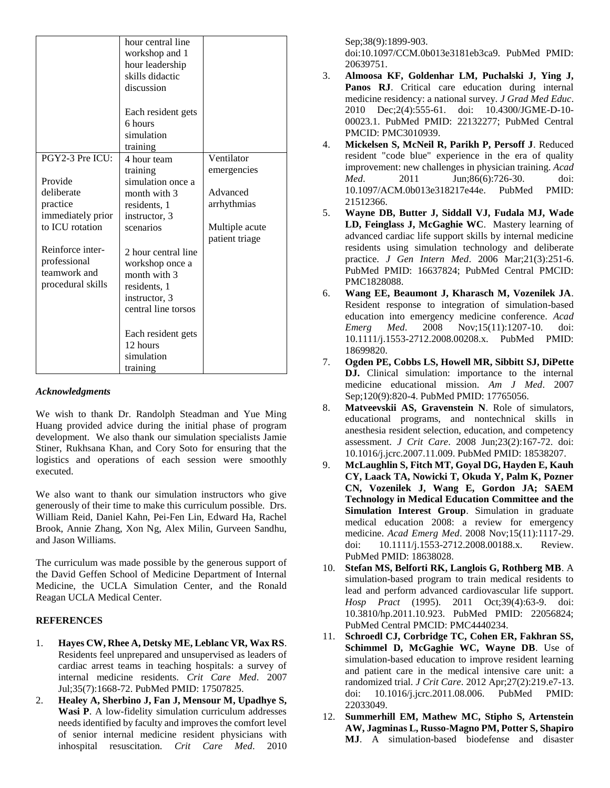|                                                                       | hour central line<br>workshop and 1<br>hour leadership<br>skills didactic<br>discussion                        |                                  |
|-----------------------------------------------------------------------|----------------------------------------------------------------------------------------------------------------|----------------------------------|
|                                                                       | Each resident gets<br>6 hours<br>simulation<br>training                                                        |                                  |
| PGY2-3 Pre ICU:<br>Provide                                            | 4 hour team<br>training<br>simulation once a                                                                   | Ventilator<br>emergencies        |
| deliberate<br>practice<br>immediately prior                           | month with 3<br>residents, 1<br>instructor, 3                                                                  | Advanced<br>arrhythmias          |
| to ICU rotation                                                       | scenarios                                                                                                      | Multiple acute<br>patient triage |
| Reinforce inter-<br>professional<br>teamwork and<br>procedural skills | 2 hour central line<br>workshop once a<br>month with 3<br>residents, 1<br>instructor, 3<br>central line torsos |                                  |
|                                                                       | Each resident gets<br>12 hours<br>simulation<br>training                                                       |                                  |

#### *Acknowledgments*

We wish to thank Dr. Randolph Steadman and Yue Ming Huang provided advice during the initial phase of program development. We also thank our simulation specialists Jamie Stiner, Rukhsana Khan, and Cory Soto for ensuring that the logistics and operations of each session were smoothly executed.

We also want to thank our simulation instructors who give generously of their time to make this curriculum possible. Drs. William Reid, Daniel Kahn, Pei-Fen Lin, Edward Ha, Rachel Brook, Annie Zhang, Xon Ng, Alex Milin, Gurveen Sandhu, and Jason Williams.

The curriculum was made possible by the generous support of the David Geffen School of Medicine Department of Internal Medicine, the UCLA Simulation Center, and the Ronald Reagan UCLA Medical Center.

## **REFERENCES**

- 1. **Hayes CW, Rhee A, Detsky ME, Leblanc VR, Wax RS**. Residents feel unprepared and unsupervised as leaders of cardiac arrest teams in teaching hospitals: a survey of internal medicine residents. *Crit Care Med*. 2007 Jul;35(7):1668-72. PubMed PMID: 17507825.
- 2. **Healey A, Sherbino J, Fan J, Mensour M, Upadhye S, Wasi P**. A low-fidelity simulation curriculum addresses needs identified by faculty and improves the comfort level of senior internal medicine resident physicians with inhospital resuscitation. *Crit Care Med*. 2010

Sep;38(9):1899-903.

doi:10.1097/CCM.0b013e3181eb3ca9. PubMed PMID: 20639751.

- 3. **Almoosa KF, Goldenhar LM, Puchalski J, Ying J,**  Panos RJ. Critical care education during internal medicine residency: a national survey. *J Grad Med Educ*. 2010 Dec;2(4):555-61. doi: 10.4300/JGME-D-10- 00023.1. PubMed PMID: 22132277; PubMed Central PMCID: PMC3010939.
- 4. **Mickelsen S, McNeil R, Parikh P, Persoff J**. Reduced resident "code blue" experience in the era of quality improvement: new challenges in physician training. *Acad Med*. 2011 Jun;86(6):726-30. doi: 10.1097/ACM.0b013e318217e44e. PubMed PMID: 21512366.
- 5. **Wayne DB, Butter J, Siddall VJ, Fudala MJ, Wade LD, Feinglass J, McGaghie WC**. Mastery learning of advanced cardiac life support skills by internal medicine residents using simulation technology and deliberate practice. *J Gen Intern Med*. 2006 Mar;21(3):251-6. PubMed PMID: 16637824; PubMed Central PMCID: PMC1828088.
- 6. **Wang EE, Beaumont J, Kharasch M, Vozenilek JA**. Resident response to integration of simulation-based education into emergency medicine conference. *Acad Emerg Med*. 2008 Nov;15(11):1207-10. doi: 10.1111/j.1553-2712.2008.00208.x. PubMed PMID: 18699820.
- 7. **Ogden PE, Cobbs LS, Howell MR, Sibbitt SJ, DiPette DJ.** Clinical simulation: importance to the internal medicine educational mission. *Am J Med*. 2007 Sep;120(9):820-4. PubMed PMID: 17765056.
- 8. **Matveevskii AS, Gravenstein N**. Role of simulators, educational programs, and nontechnical skills in anesthesia resident selection, education, and competency assessment. *J Crit Care*. 2008 Jun;23(2):167-72. doi: 10.1016/j.jcrc.2007.11.009. PubMed PMID: 18538207.
- 9. **McLaughlin S, Fitch MT, Goyal DG, Hayden E, Kauh CY, Laack TA, Nowicki T, Okuda Y, Palm K, Pozner CN, Vozenilek J, Wang E, Gordon JA; SAEM Technology in Medical Education Committee and the Simulation Interest Group**. Simulation in graduate medical education 2008: a review for emergency medicine. *Acad Emerg Med*. 2008 Nov;15(11):1117-29. doi: 10.1111/j.1553-2712.2008.00188.x. Review. PubMed PMID: 18638028.
- 10. **Stefan MS, Belforti RK, Langlois G, Rothberg MB**. A simulation-based program to train medical residents to lead and perform advanced cardiovascular life support. *Hosp Pract* (1995). 2011 Oct;39(4):63-9. doi: 10.3810/hp.2011.10.923. PubMed PMID: 22056824; PubMed Central PMCID: PMC4440234.
- 11. **Schroedl CJ, Corbridge TC, Cohen ER, Fakhran SS, Schimmel D, McGaghie WC, Wayne DB**. Use of simulation-based education to improve resident learning and patient care in the medical intensive care unit: a randomized trial. *J Crit Care*. 2012 Apr;27(2):219.e7-13. doi: 10.1016/j.jcrc.2011.08.006. PubMed PMID: 22033049.
- 12. **Summerhill EM, Mathew MC, Stipho S, Artenstein AW, Jagminas L, Russo-Magno PM, Potter S, Shapiro MJ**. A simulation-based biodefense and disaster